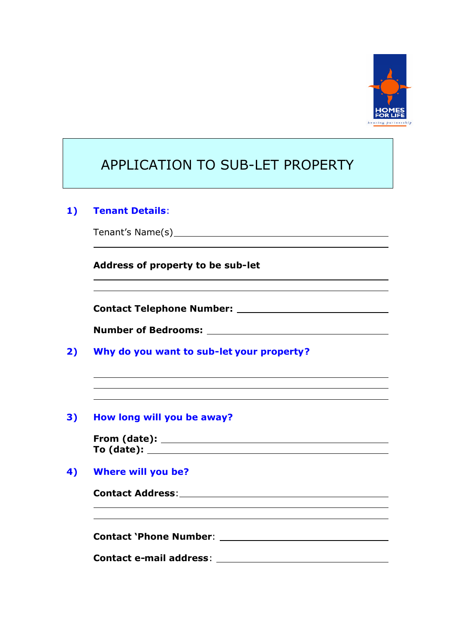

| APPLICATION TO SUB-LET PROPERTY                                                                                                                        |
|--------------------------------------------------------------------------------------------------------------------------------------------------------|
| <b>Tenant Details:</b>                                                                                                                                 |
|                                                                                                                                                        |
| Address of property to be sub-let                                                                                                                      |
|                                                                                                                                                        |
|                                                                                                                                                        |
| Why do you want to sub-let your property?                                                                                                              |
| How long will you be away?                                                                                                                             |
|                                                                                                                                                        |
|                                                                                                                                                        |
| <b>Where will you be?</b>                                                                                                                              |
| Contact Address: The Contact Address:                                                                                                                  |
| Contact `Phone Number: will be a series of the contract of the control of the control of the control of the co                                         |
| <b>Contact e-mail address:</b><br><u> 1980 - Jan Samuel Barbara, martin da shekara 1980 - An tsara 1980 - An tsara 1980 - An tsara 1980 - An tsara</u> |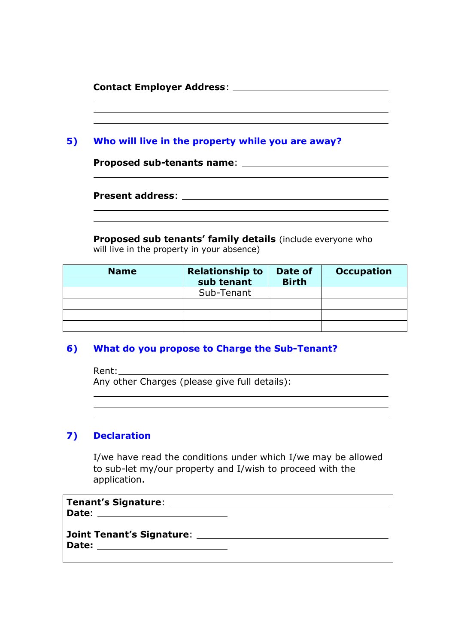| <b>Contact Employer Address:</b> |  |  |
|----------------------------------|--|--|
|                                  |  |  |

| 5) | Who will live in the property while you are away? |
|----|---------------------------------------------------|

**Proposed sub-tenants name**:

**Present address**:

**Proposed sub tenants' family details** (include everyone who will live in the property in your absence)

| <b>Name</b> | <b>Relationship to</b><br>sub tenant | Date of<br><b>Birth</b> | <b>Occupation</b> |
|-------------|--------------------------------------|-------------------------|-------------------|
|             | Sub-Tenant                           |                         |                   |
|             |                                      |                         |                   |
|             |                                      |                         |                   |
|             |                                      |                         |                   |

## **6) What do you propose to Charge the Sub-Tenant?**

Rent: Any other Charges (please give full details):

#### **7) Declaration**

I/we have read the conditions under which I/we may be allowed to sub-let my/our property and I/wish to proceed with the application.

**Tenant's Signature**: **Date**:

**Joint Tenant's Signature**: **Date:**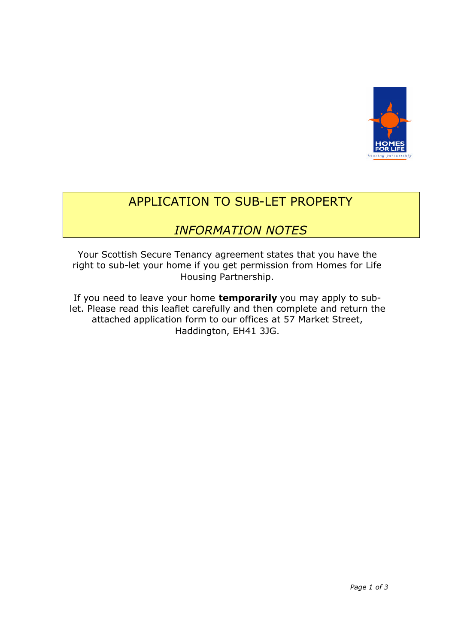

# APPLICATION TO SUB-LET PROPERTY

## *INFORMATION NOTES*

Your Scottish Secure Tenancy agreement states that you have the right to sub-let your home if you get permission from Homes for Life Housing Partnership.

If you need to leave your home **temporarily** you may apply to sublet. Please read this leaflet carefully and then complete and return the attached application form to our offices at 57 Market Street, Haddington, EH41 3JG.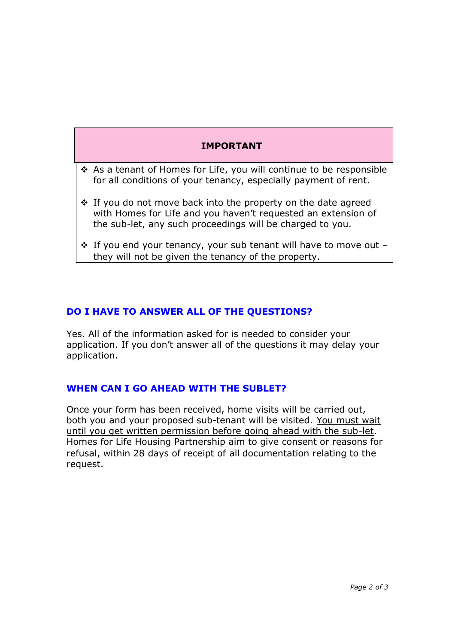## **IMPORTANT**

- As a tenant of Homes for Life, you will continue to be responsible for all conditions of your tenancy, especially payment of rent.
- ❖ If you do not move back into the property on the date agreed with Homes for Life and you haven't requested an extension of the sub-let, any such proceedings will be charged to you.
- $\cdot$  If you end your tenancy, your sub tenant will have to move out they will not be given the tenancy of the property.

## **DO I HAVE TO ANSWER ALL OF THE QUESTIONS?**

Yes. All of the information asked for is needed to consider your application. If you don't answer all of the questions it may delay your application.

## **WHEN CAN I GO AHEAD WITH THE SUBLET?**

Once your form has been received, home visits will be carried out, both you and your proposed sub-tenant will be visited. You must wait until you get written permission before going ahead with the sub-let. Homes for Life Housing Partnership aim to give consent or reasons for refusal, within 28 days of receipt of all documentation relating to the request.